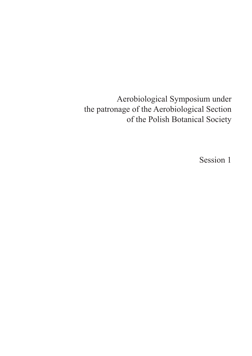Aerobiological Symposium under the patronage of the Aerobiological Section of the Polish Botanical Society

Session 1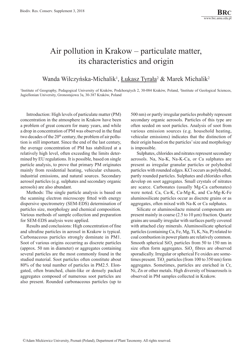## Air pollution in Krakow – particulate matter, its characteristics and origin

#### Wanda Wilczyńska-Michalik<sup>1</sup>, *Łukasz Tyrała<sup>2</sup> & Marek Michalik<sup>2</sup>*

<sup>1</sup>Institute of Geography, Pedagogical University of Kraków, Podchorążych 2, 30-084 Kraków, Poland, <sup>2</sup>Institute of Geological Sciences, Jagiellonian University, Gronostajowa 3a, 30-387 Kraków, Poland

Introduction: High levels of particulate matter (PM) concentration in the atmosphere in Krakow have been a problem of great concern for many years, and while a drop in concentration of PM was observed in the final two decades of the  $20<sup>th</sup>$  century, the problem of air pollution is still important. Since the end of the last century, the average concentration of PM has stabilized at a relatively high level, often exceeding the limits determined by EU regulations. It is possible, based on single particle analysis, to prove that primary PM originates mainly from residential heating, vehicular exhausts, industrial emissions, and natural sources. Secondary aerosol particles (e.g. sulphates and secondary organic aerosols) are also abundant.

Methods: The single particle analysis is based on the scanning electron microscopy fitted with energy dispersive spectrometry (SEM-EDS) determination of particles size, morphology and chemical composition. Various methods of sample collection and preparation for SEM-EDS analysis were applied.

Results and conclusions: High concentration of fine and ultrafine particles in aerosol in Krakow is typical. Carbonaceous particles strongly dominate in PM1. Soot of various origins occurring as discrete particles (approx. 50 nm in diameter) or aggregates containing several particles are the most commonly found in the studied material. Soot particles often constitute about 80% of the total number of particles in PM2.5. Elongated, often branched, chain-like or densely packed aggregates composed of numerous soot particles are also present. Rounded carbonaceous particles (up to

500 nm) or partly irregular particles probably represent secondary organic aerosols. Particles of this type are often seeded on soot particles. Analysis of soot from various emission sources (e.g. household heating, vehicular emissions) indicates that the distinction of their origin based on the particles' size and morphology is impossible.

Sulphates, chlorides and nitrates represent secondary aerosols. Na, Na-K, Na-K-Ca, or Ca sulphates are present as irregular granular particles or polyhedral particles with rounded edges. KCl occurs as polyhedral, partly rounded particles. Sulphates and chlorides often develop on soot aggregates. Small crystals of nitrates are scarce. Carbonates (usually Mg-Ca carbonates) were noted. Ca, Ca-K, Ca-Mg-K, and Ca-Mg-K-Fe aluminosilicate particles occur as discrete grains or as aggregates, often mixed with Na-K or Ca sulphates.

Silicate or aluminosilacte mineral components are present mainly in coarse (2.5 to 10 μm) fraction. Quartz grains are usually irregular with surfaces partly covered with attached clay minerals. Aluminosilicate spherical particles (containing Ca, Fe, Mg, Ti, K, Na, P) related to coal combustion in power plants are relatively common. Smooth spherical  $SiO_2$  particles from 50 to 150 nm in size often form aggregates.  $SiO_2$  fibres are observed sporadically. Irregular or spherical Fe oxides are sometimes present. TiO<sub>2</sub> particles (from 100 to 350 nm) form aggregates. Sometimes, particles are enriched in Cr, Ni, Zn or other metals. High diversity of bioaerosols is observed in PM samples collected in Krakow.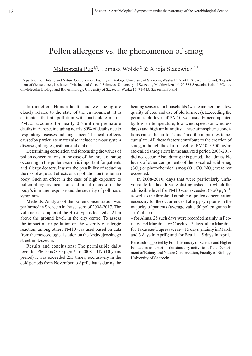### Pollen allergens vs. the phenomenon of smog

#### Małgorzata Puc<sup>1,3</sup>, Tomasz Wolski<sup>2</sup> & Alicja Stacewicz <sup>1,3</sup>

<sup>1</sup>Department of Botany and Nature Conservation, Faculty of Biology, University of Szczecin, Wąska 13, 71-415 Szczecin, Poland, <sup>2</sup>Department of Geosciences, Institute of Marine and Coastal Sciences, University of Szczecin, Mickiewicza 16, 70-383 Szczecin, Poland, <sup>3</sup>Centre of Molecular Biology and Biotechnology, University of Szczecin, Wąska 13, 71-415, Szczecin, Poland

Introduction: Human health and well-being are closely related to the state of the environment. It is estimated that air pollution with particulate matter PM2.5 accounts for nearly 0.5 million premature deaths in Europe, including nearly 80% of deaths due to respiratory diseases and lung cancer. The health effects caused by particulate matter also include nervous system diseases, allergies, asthma and diabetes.

Determining correlation and forecasting the values of pollen concentrations in the case of the threat of smog occurring in the pollen season is important for patients and allergy doctors. It gives the possibility of reducing the risk of adjuvant effects of air pollution on the human body. Such an effect in the case of high exposure to pollen allergens means an additional increase in the body's immune response and the severity of pollinosis symptoms.

Methods: Analysis of the pollen concentration was performed in Szczecin in the seasons of 2008-2017. The volumetric sampler of the Hirst type is located at 21 m above the ground level, in the city centre. To assess the impact of air pollution on the severity of allergic reaction, among others PM10 was used based on data from the meteorological station on the Andrzejewskiego street in Szczecin.

Results and conclusions: The permissible daily level for PM10 is  $> 50 \mu g/m^3$ . In 2008-2017 (10 years period) it was exceeded 255 times, exclusively in the cold periods from November to April, that is during the

heating seasons for households (waste incineration, low quality of coal and use of old furnaces). Exceeding the permissible level of PM10 was usually accompanied by low air temperature, low wind speed (or windless days) and high air humidity. These atmospheric conditions cause the air to "stand" and the impurities to accumulate. All these factors contribute to the creation of smog, although the alarm level for  $PM10 > 300 \mu g/m^3$ (so-called smog alert) in the analyzed period 2008-2017 did not occur. Also, during this period, the admissible levels of other components of the so-called acid smog  $(SO_2)$  or photochemical smog  $(O_3, CO, NO_x)$  were not exceeded.

In 2008-2010, days that were particularly unfavourable for health were distinguished, in which the admissible level for PM10 was exceeded ( $>$  50  $\mu$ g/m<sup>3</sup>) as well as the threshold number of pollen concentration necessary for the occurrence of allergy symptoms in the majority of patients (average value 50 pollen grains in  $1 \text{ m}^3$  of air):

– for Alnus, 28 such days were recorded mainly in February and March; – for Corylus – 3 days, all in March; – for Taxaceae/Cupressaceae – 15 days (mainly in March and 3 days in April); and for Betula – 5 days in April.

Research supported by Polish Ministry of Science and Higher Education as a part of the statutory activities of the Department of Botany and Nature Conservation, Faculty of Biology, University of Szczecin.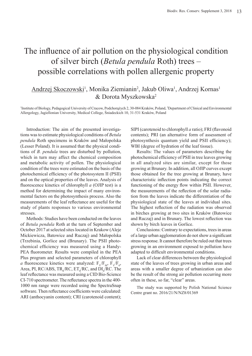# The influence of air pollution on the physiological condition of silver birch (*Betula pendula* Roth) trees – possible correlations with pollen allergenic property

#### Andrzej Skoczowski<sup>1</sup>, Monika Ziemianin<sup>2</sup>, Jakub Oliwa<sup>1</sup>, Andrzej Kornas<sup>1</sup> & Dorota Myszkowska<sup>2</sup>

1 Institute of Biology, Pedagogical University of Cracow, Podchorążych 2, 30-084 Kraków, Poland, <sup>2</sup> Department of Clinical and Environmental Allergology, Jagiellonian University, Medical College, Śniadeckich 10, 31-531 Kraków, Poland

Introduction: The aim of the presented investigations was to estimate physiological conditions of *Betula pendula* Roth specimens in Kraków and Małopolska (Lesser Poland). It is assumed that the physical conditions of *B. pendula* trees are disturbed by pollution, which in turn may affect the chemical composition and metabolic activity of pollen. The physiological condition of the trees were estimated on the basis of the photochemical efficiency of the photosystem II (PSII) and on the optical properties of the leaves. Analysis of fluorescence kinetics of chlorophyll *a* (OJIP test) is a method for determining the impact of many environmental factors on the photosynthesis process. Also the measurements of the leaf reflectance are useful for the study of plants responses to various environmental stresses.

Methods: Studies have been conducted on the leaves of *Betula pendula* Roth at the turn of September and October 2017 at selected sites located in Krakow (Aleje Mickiewicza, Batowice and Ruczaj) and Małopolska (Trzebinia, Gorlice and (Brunary). The PSII photochemical efficiency was measured using a Handy-PEA fluorometer. Results were compiled in the PEA Plus program and selected parameters of chlorophyll *a* fluorescence kinetics were analyzed:  $F_v/F_w$ ,  $F_v/F_0$ , Area, PI, RC/ABS,  $TR_0/RC$ ,  $ET_0/RC$ , and  $DI_0/RC$ . The leaf reflectance was measured using a CID Bio-Science CI-710 spectrometer. The reflectance spectra in the 400- 1000 nm range were recorded using the SpectraSnap software. Then reflectance coefficients were calculated: ARI (anthocyanin content); CRI (carotenoid content);

SIPI (carotenoid to chlorophyll *a* ratio); FRI (flavonoid contents); PRI (an alternative form of assessment of photosynthesis quantum yield and PSII efficiency); WBI (degree of hydration of the leaf tissue).

Results: The values of parameters describing the photochemical efficiency of PSII in tree leaves growing in all analyzed sites are similar, except for those growing at Brunary. In addition, all OJIP curves except those obtained for the tree growing at Brunary, have characteristic inflection points indicating the correct functioning of the energy flow within PSII. However, the measurements of the reflection of the solar radiation from the leaves indicate the differentiation of the physiological state of the leaves at individual sites. The highest reflection of the radiation was observed in birches growing at two sites in Kraków (Batowice and Ruczaj) and in Brunary. The lowest reflection was shown by birch leaves in Gorlice.

Conclusions: Contrary to expectations, trees in areas of a large urban agglomeration do not show a significant stress response. It cannot therefore be ruled out that trees growing in an environment exposed to pollution have adapted to difficult environmental conditions.

Lack of clear differences between the physiological state of the leaves of trees growing in urban areas and areas with a smaller degree of urbanization can also be the result of the strong air pollution occurring more often in these, so far, "clear" areas.

The study was supported by Polish National Science Centre grant no. 2016/21/N/NZ8/01369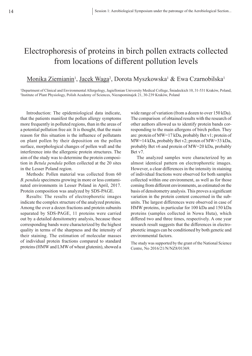## Electrophoresis of proteins in birch pollen extracts collected from locations of different pollution levels

#### <u>Monika Ziemianin', Jacek Waga<sup>2</sup>,</u> Dorota Myszkowska<sup>1</sup> & Ewa Czarnobilska<sup>1</sup>

1 Department of Clinical and Environmental Allergology, Jagiellonian University Medical College, Śniadeckich 10, 31-531 Kraków, Poland, 2 Institute of Plant Physiology, Polish Academy of Sciences, Niezapominajek 21, 30-239 Kraków, Poland

Introduction: The epidemiological data indicate, that the patients manifest the pollen allergy symptoms more frequently in polluted regions, than in the areas of a potential pollution free air. It is thought, that the main reason for this situation is the influence of pollutants on plant pollen by their deposition on the pollen surface, morphological changes of pollen wall and the interference into the allergenic protein structures. The aim of the study was to determine the protein composition in *Betula pendula* pollen collected at the 20 sites in the Lesser Poland region.

Methods: Pollen material was collected from 60 *B. pendula* specimens growing in more or less contaminated environments in Lesser Poland in April, 2017. Protein composition was analyzed by SDS-PAGE.

Results: The results of electrophoretic images indicate the complex structure of the analyzed proteins. Among the over a dozen fractions and protein subunits separated by SDS-PAGE, 11 proteins were carried out by a detailed densitometry analysis, because these corresponding bands were characterized by the highest quality in terms of the sharpness and the intensity of their staining. The estimation of molecular masses of individual protein fractions compared to standard proteins (HMW and LMW of wheat glutenin), showed a

wide range of variation (from a dozen to over 150 kDa). The comparison of obtained results with the research of other authors allowed us to identify protein bands corresponding to the main allergens of birch pollen. They are: protein of MW=17 kDa, probably Bet v1; protein of MW=14 kDa, probably Bet v2; proten of MW=33 kDa, probably Bet v6 and protein of MW=20 kDa, probably Bet v7.

The analyzed samples were characterized by an almost identical pattern on electrophoretic images. However, a clear differences in the intensity in staining of individual fractions were observed for both samples collected within one environment, as well as for those coming from different environments, as estimated on the basis of densitometry analysis. This proves a significant variation in the protein content concerned in the subunits. The largest differences were observed in case of HMW proteins, in particular for 100 kDa and 150 kDa proteins (samples collected in Nowa Huta), which differed two and three times, respectively. A one year research result suggests that the differences in electrophoretic images can be conditioned by both genetic and environmental factors.

The study was supported by the grant of the National Science Centre, No 2016/21/N/NZ8/01369.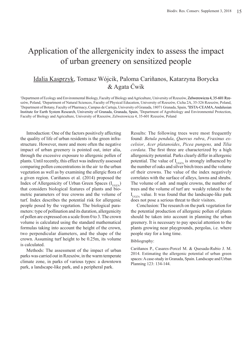## Application of the allergenicity index to assess the impact of urban greenery on sensitized people

#### Idalia Kasprzyk, Tomasz Wójcik, Paloma Cariñanos, Katarzyna Borycka & Agata Ćwik

1 Department of Ecology and Environmental Biology, Faculty of Biology and Agriculture, University of Rzeszów, Zelwerowicza 4, 35‑601 Rzeszów, Poland, <sup>2</sup> Department of Natural Sciences, Faculty of Physical Education, University of Rzeszów, Cicha 2A, 35-326 Rzeszów, Poland, 3 Department of Botany, Faculty of Pharmacy, Campus de Cartuja, University of Granada, 18071 Granada, Spain, <sup>4</sup> IISTA-CEAMA, Andalusian Institute for Earth System Research, University of Granada, Granada, Spain, <sup>5</sup> Department of Agrobiology and Environmental Protection, Faculty of Biology and Agriculture, University of Rzeszów, Zelwerowicza 4, 35-601 Rzeszów, Poland

Introduction: One of the factors positively affecting the quality of life of urban residents is the green infrastructure. However, more and more often the negative impact of urban greenery is pointed out, inter alia, through the excessive exposure to allergenic pollen of plants. Until recently, this effect was indirectly assessed comparing pollen concentrations in the air to the urban vegetation as well as by examining the allergic flora of a given region. Cariñanos et al. (2014) proposed the Index of Allergenicity of Urban Green Spaces  $(I<sub>UGZA</sub>)$ that considers biological features of plants and biometric parameters of tree crowns and the volume of turf. Index describes the potential risk for allergenic people posed by the vegetation. The biological parameters: type of pollination and its duration, allergenicity of pollen are expressed on a scale from 0 to 3. The crown volume is calculated using the standard mathematical formulas taking into account the height of the crown, two perpendicular diameters, and the shape of the crown. Assuming turf height to be 0.25m, its volume is calculated.

Methods: The assessment of the impact of urban parks was carried out in Rzeszów, in the warm temperate climate zone, in parks of various types: a downtown park, a landscape-like park, and a peripheral park.

Results: The following trees were most frequently found: *Betula pendula*, *Quercus rubra*, *Fraxinus excelsior*, *Acer platanoides*, *Picea pungens,* and *Tilia cordata*. The first three are characterized by a high allergenicity potential*.* Parks clearly differ in allergenic potential. The value of  $I_{UGZA}$  is strongly influenced by the number of oaks and silver birch trees and the volume of their crowns. The value of the index negatively correlates with the surface of alleys, lawns and shrubs. The volume of ash and maple crowns, the number of trees and the volume of turf are weakly related to the  $I_{\text{UGZA}}$  value. It was found that the landscape-like park does not pose a serious threat to their visitors.

Conclusion: The research on the park vegetation for the potential production of allergenic pollen of plants should be taken into account in planning the urban greenery. It is necessary to pay special attention to the plants growing near playgrounds, pergolas, i.e. where people stay for a long time.

#### Bibliography:

Cariñanos P., Casares-Porcel M. & Quesada-Rubio J. M. 2014. Estimating the allergenic potential of urban green spaces: A case-study in Granada, Spain. Landscape and Urban Planning 123: 134-144.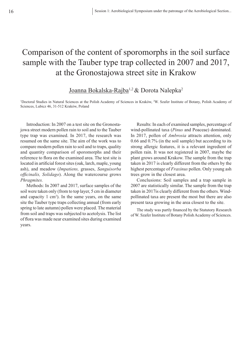# Comparison of the content of sporomorphs in the soil surface sample with the Tauber type trap collected in 2007 and 2017, at the Gronostajowa street site in Krakow

#### Joanna Bokalska-Rajba<sup>1,2</sup> & Dorota Nalepka<sup>2</sup>

<sup>1</sup>Doctoral Studies in Natural Sciences at the Polish Academy of Sciences in Kraków, <sup>2</sup>W. Szafer Institute of Botany, Polish Academy of Sciences, Lubicz 46, 31-512 Kraków, Poland

Introduction: In 2007 on a test site on the Gronostajowa street modern pollen rain to soil and to the Tauber type trap was examined. In 2017, the research was resumed on the same site. The aim of the work was to compare modern pollen rain to soil and to traps, quality and quantity comparison of sporomorphs and their reference to flora on the examined area. The test site is located in artificial forest sites (oak, larch, maple, young ash), and meadow (*Impatiens,* grasses, *Sanguisorba officinalis, Solidago*). Along the watercourse grows *Phragmites.*

Methods: In 2007 and 2017, surface samples of the soil were taken only (from to top layer, 5 cm in diameter and capacity  $1 \text{ cm}^3$ ). In the same years, on the same site the Tauber type traps collecting annual (from early spring to late autumn) pollen were placed. The material from soil and traps was subjected to acetolysis. The list of flora was made near examined sites during examined years.

Results: In each of examined samples, percentage of wind-pollinated taxa (*Pinus* and Poaceae) dominated. In 2017, pollen of *Ambrosia* attracts attention, only 0.66 and 0.7% (in the soil sample) but according to its strong allergic features, it is a relevant ingredient of pollen rain. It was not registered in 2007, maybe the plant grows around Krakow. The sample from the trap taken in 2017 is clearly different from the others by the highest percentage of *Fraxinus* pollen. Only young ash trees grow in the closest area.

Conclusions: Soil samples and a trap sample in 2007 are statistically similar. The sample from the trap taken in 2017is clearly different from the others. Windpollinated taxa are present the most but there are also present taxa growing in the area closest to the site.

The study was partly financed by the Statutory Research of W. Szafer Institute of Botany Polish Academy of Sciences.